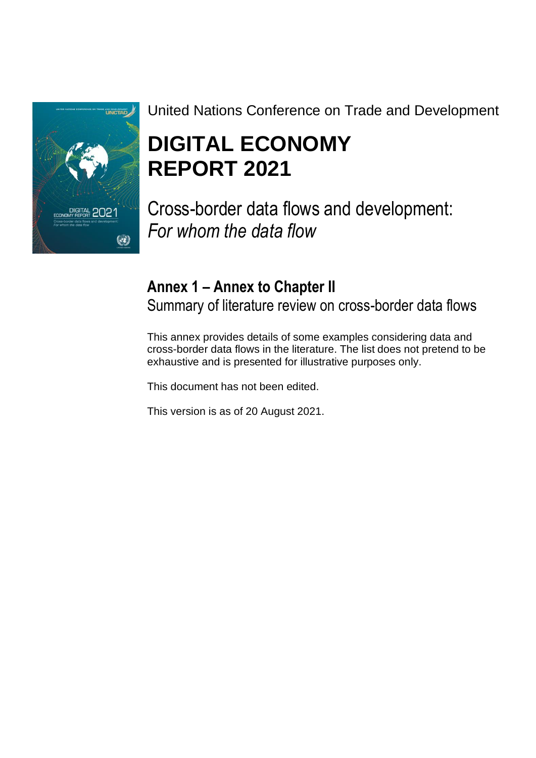

# United Nations Conference on Trade and Development

# **DIGITAL ECONOMY REPORT 2021**

Cross-border data flows and development: *For whom the data flow*

# **Annex 1 – Annex to Chapter II**

Summary of literature review on cross-border data flows

This annex provides details of some examples considering data and cross-border data flows in the literature. The list does not pretend to be exhaustive and is presented for illustrative purposes only.

This document has not been edited.

This version is as of 20 August 2021.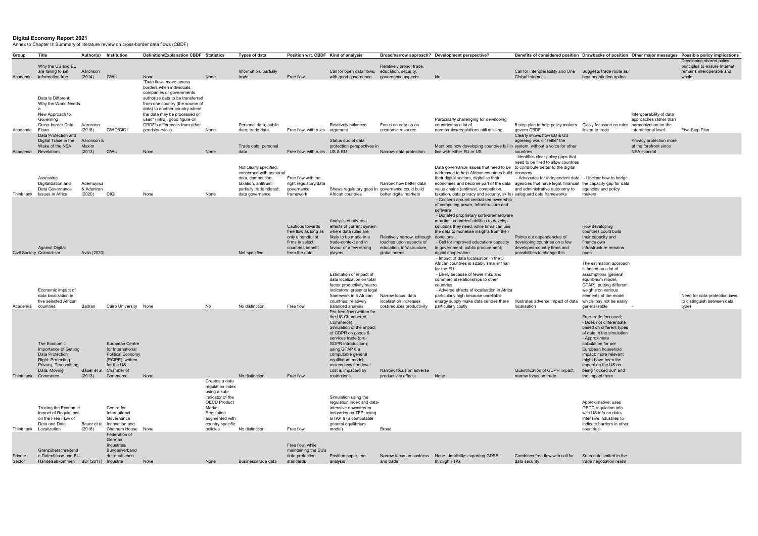## Digital Economy Report 2021

Annex to Chapter II: Summary of literature review on cross-border data flows (CBDF)

| Group             | Title                                                                                                                                      | Author(s)                         | Institution                                                                                                                                            | Definition/Explanation CBDF Statistics                                                                                                                                                                                            |                                                                                                                                                                         | Types of data                                                                                                                       | Position wrt. CBDF Kind of analysis                                                                                |                                                                                                                                                                                                                                                                                                   |                                                                                                                | Broad/narrow approach? Development perspective?                                                                                                                                                                                                                                                                                                                                                                                                      | Benefits of considered position Drawbacks of position Other major messages Possible policy implications                                                                                                                                                |                                                                                                                                                                                                                                                                                           |                                                   |                                                                                        |
|-------------------|--------------------------------------------------------------------------------------------------------------------------------------------|-----------------------------------|--------------------------------------------------------------------------------------------------------------------------------------------------------|-----------------------------------------------------------------------------------------------------------------------------------------------------------------------------------------------------------------------------------|-------------------------------------------------------------------------------------------------------------------------------------------------------------------------|-------------------------------------------------------------------------------------------------------------------------------------|--------------------------------------------------------------------------------------------------------------------|---------------------------------------------------------------------------------------------------------------------------------------------------------------------------------------------------------------------------------------------------------------------------------------------------|----------------------------------------------------------------------------------------------------------------|------------------------------------------------------------------------------------------------------------------------------------------------------------------------------------------------------------------------------------------------------------------------------------------------------------------------------------------------------------------------------------------------------------------------------------------------------|--------------------------------------------------------------------------------------------------------------------------------------------------------------------------------------------------------------------------------------------------------|-------------------------------------------------------------------------------------------------------------------------------------------------------------------------------------------------------------------------------------------------------------------------------------------|---------------------------------------------------|----------------------------------------------------------------------------------------|
|                   | Why the US and EU<br>are failing to set                                                                                                    | Aaronson                          |                                                                                                                                                        |                                                                                                                                                                                                                                   |                                                                                                                                                                         | Information, partially                                                                                                              |                                                                                                                    | Call for open data flows, education, security,                                                                                                                                                                                                                                                    | Relatively broad: trade,                                                                                       |                                                                                                                                                                                                                                                                                                                                                                                                                                                      | Call for interoperability and One                                                                                                                                                                                                                      | Suggests trade route as                                                                                                                                                                                                                                                                   |                                                   | Developing shared policy<br>principles to ensure Internet<br>remains interoperable and |
|                   | Academia information free<br>Data Is Different:<br>Why the World Needs<br>New Approach to                                                  | (2014)                            | <b>GWU</b>                                                                                                                                             | None<br>"Data flows move across<br>borders when individuals.<br>companies or governments<br>authorize data to be transferred<br>from one country (the source of<br>data) to another country where<br>the data may be processed or | None                                                                                                                                                                    | trade                                                                                                                               | Free flow                                                                                                          | with good governance                                                                                                                                                                                                                                                                              | governance aspects                                                                                             | No                                                                                                                                                                                                                                                                                                                                                                                                                                                   | <b>Global Internet</b>                                                                                                                                                                                                                                 | best negotiation option                                                                                                                                                                                                                                                                   | Interoperability of data                          | whole                                                                                  |
| Academia          | Governing<br>Cross-border Data<br>Flows                                                                                                    | Aaronson<br>(2018)                | <b>GWO/CIGI</b>                                                                                                                                        | used" (intro); good figure on<br>CBDF's differences from other<br>goods/services                                                                                                                                                  | None                                                                                                                                                                    | Personal data; public<br>data; trade data                                                                                           | Free flow, with rules argument                                                                                     | Relatively balanced                                                                                                                                                                                                                                                                               | Focus on data as an<br>economic resource                                                                       | Particularly challenging for developing<br>countries as a lot of<br>norms/rules/regulations still missing                                                                                                                                                                                                                                                                                                                                            | 5 step plan to help policy makers<br>govern CBDF                                                                                                                                                                                                       | Closly focussed on rules harmonization on the<br>linked to trade                                                                                                                                                                                                                          | approaches rather than<br>international level     | Five Step Plan                                                                         |
|                   | Data Protection and<br>Digital Trade in the<br>Wake of the NSA                                                                             | Aaronson &<br>Maxim               |                                                                                                                                                        |                                                                                                                                                                                                                                   |                                                                                                                                                                         | Trade data; personal                                                                                                                |                                                                                                                    | Status quo of data<br>protection perspectives in                                                                                                                                                                                                                                                  |                                                                                                                | Mentions how developing countries fall in system, without a voice for other                                                                                                                                                                                                                                                                                                                                                                          | Clearly shows how EU & US<br>agreeing would "settle" the                                                                                                                                                                                               |                                                                                                                                                                                                                                                                                           | Privacy protection more<br>at the forefront since |                                                                                        |
| Academia          | Revelations<br>Assessing<br>Digitalization and<br>Data Governance                                                                          | (2013)<br>Ademuyiwa<br>& Adeniran | <b>GWU</b>                                                                                                                                             | None                                                                                                                                                                                                                              | None                                                                                                                                                                    | data<br>Not clearly specified,<br>concerned with personal<br>data, competition,<br>taxation, antitrust,<br>partially trade related; | Free flow, with rules US & EU<br>Free flow with the<br>right regulatory/data<br>governance                         | Shows regulatory gaps in governance could build                                                                                                                                                                                                                                                   | Narrow: data protection<br>Narrow: how better data                                                             | line with either EU or US<br>Data governance issues that need to be to contribute better to the digital<br>addressed to help African countries build economy<br>their digital sectors, digitalise their<br>economies and become part of the data<br>value chains (antitrust, competition,                                                                                                                                                            | countries<br>-Identifies clear policy gaps that<br>need to be filled to allow countries<br>- Advocates for independent data - Unclear how to bridge<br>agencies that have legal, financial the capacity gap for data<br>and administrative autonomy to | agencies and policy                                                                                                                                                                                                                                                                       | NSA scandal                                       |                                                                                        |
| Think tank        | Issues in Africa<br><b>Against Digital</b>                                                                                                 | (2020)                            | <b>CIGI</b>                                                                                                                                            | None                                                                                                                                                                                                                              | None                                                                                                                                                                    | data governance                                                                                                                     | framework<br>Cautious towards<br>free flow as long as<br>only a handful of<br>firms in select<br>countries benefit | African countries<br>Analysis of adverse<br>effects of current system<br>where data rules are<br>likely to be made in a<br>trade-context and in<br>favour of a few strong                                                                                                                         | better digital markets<br>Relatively narrow, although<br>touches upon aspects of<br>education, infrastructure, | taxation, data privacy and security, skills) safeguard data frameworks<br>- Concern around centralised ownership<br>of computing power, infrastructure and<br>software<br>- Donated proprietary software/hardware<br>may limit countries' abilities to develop<br>solutions they need, while firms can use<br>the data to monetise insights from their<br>donations<br>- Call for improved education/ capacity<br>in government; public procurement; | Points out dependencies of<br>developing countries on a few<br>developed-country firms and                                                                                                                                                             | makers<br>How developing<br>countries could build<br>their capacity and<br>finance own<br>infrastructure remains                                                                                                                                                                          |                                                   |                                                                                        |
|                   | Civil Society Colonialism<br>Economic impact of<br>data localization in<br>five selected African                                           | Avila (2020)                      |                                                                                                                                                        |                                                                                                                                                                                                                                   |                                                                                                                                                                         | Not specified                                                                                                                       | from the data                                                                                                      | players<br>Estimation of impact of<br>data localization on total<br>factor productivity/macro<br>indicators; presents legal<br>framework in 5 African<br>countries; relatively                                                                                                                    | global norms<br>Narrow focus: data<br>localisation increases                                                   | digital cooperation<br>- Impact of data localisation in the 5<br>African countries is sizably smaller than<br>for the EU<br>- Likely because of fewer links and<br>commercial relationships to other<br>countries<br>- Adverse effects of localisation in Africa<br>particularly high because unreliable<br>energy supply make data centres there                                                                                                    | possibilities to change this<br>Illustrates adverse impact of data                                                                                                                                                                                     | open<br>The estimation approach<br>is based on a lot of<br>assumptions (general<br>equilibrium model,<br>GTAP), putting different<br>weights on various<br>elements of the model<br>which may not be easily                                                                               |                                                   | Need for data protection laws<br>to distinguish between data                           |
| Academia          | countries<br>The Economic<br>Importance of Getting<br>Data Protection<br><b>Right: Protecting</b><br>Privacy, Transmitting<br>Data, Moving | Badran                            | Cairo University None<br>European Centre<br>for International<br><b>Political Economy</b><br>(ECIPE); written<br>for the US<br>Bauer et al. Chamber of |                                                                                                                                                                                                                                   | No                                                                                                                                                                      | No distinction                                                                                                                      | Free flow                                                                                                          | balanced analysis<br>Pro-free flow (written for<br>the US Chamber of<br>Commerce);<br>Simulation of the impact<br>of GDPR on goods &<br>services trade (pre-<br>GDPR introduction);<br>using GTAP 8 a<br>computable general<br>equilibrium model;<br>assess how firm-level<br>cost is impacted by | cost/reduces productivity<br>Narrow: focus on adverse                                                          | particularly costly                                                                                                                                                                                                                                                                                                                                                                                                                                  | localisation<br>Quantification of GDPR impact,                                                                                                                                                                                                         | qeneralisable<br>Free-trade focussed;<br>- Does not differentiate<br>based on different types<br>of data in the simulation<br>- Approximate<br>calculation for per<br>European household<br>impact: more relevant<br>might have been the<br>impact on the US as<br>being "locked out" and |                                                   | types                                                                                  |
|                   | Think tank Commerce<br>Tracing the Economic<br>Impact of Regulations<br>on the Free Flow of<br>Data and Data<br>Think tank Localization    | (2013)<br>Bauer et<br>(2016)      | Commerce<br>Centre for<br>International<br>Governance<br>Innovation and<br>Chatham House None                                                          | None                                                                                                                                                                                                                              | Creates a data<br>regulation index<br>using a sub-<br>indicator of the<br><b>OECD Product</b><br>Market<br>Regulation<br>augmented with<br>country specific<br>policies | No distinction<br>No distinction                                                                                                    | Free flow<br>Free flow                                                                                             | restrictions<br>Simulation using the<br>regulation index and data-<br>intensive downstream<br>industries on TFP; using<br>GTAP 8 (a computable<br>general equilibrium<br>model)                                                                                                                   | productivity effects<br><b>Broad</b>                                                                           | None                                                                                                                                                                                                                                                                                                                                                                                                                                                 | narrow focus on trade                                                                                                                                                                                                                                  | the impact there<br>Approximative: uses<br>OECD regulation info<br>with US info on data-<br>intensive industries to<br>indicate barriers in other<br>countries                                                                                                                            |                                                   |                                                                                        |
| Private<br>Sector | Grenzüberschreitend<br>e Datenflüsse und EU-<br>Handelsabkommen BDI (2017) Industrie                                                       |                                   | Federation of<br>German<br>Industries/<br>Bundesverband<br>der deutschen                                                                               | None                                                                                                                                                                                                                              | None                                                                                                                                                                    | Business/trade data                                                                                                                 | Free flow, while<br>maintaining the EU's<br>data protection<br>standards                                           | Position paper, no<br>analysis                                                                                                                                                                                                                                                                    | and trade                                                                                                      | Narrow focus on business None - implicitly: exporting GDPR<br>through FTAs                                                                                                                                                                                                                                                                                                                                                                           | Combines free flow with call for<br>data security                                                                                                                                                                                                      | Sees data limited in the<br>trade negotiation realm                                                                                                                                                                                                                                       |                                                   |                                                                                        |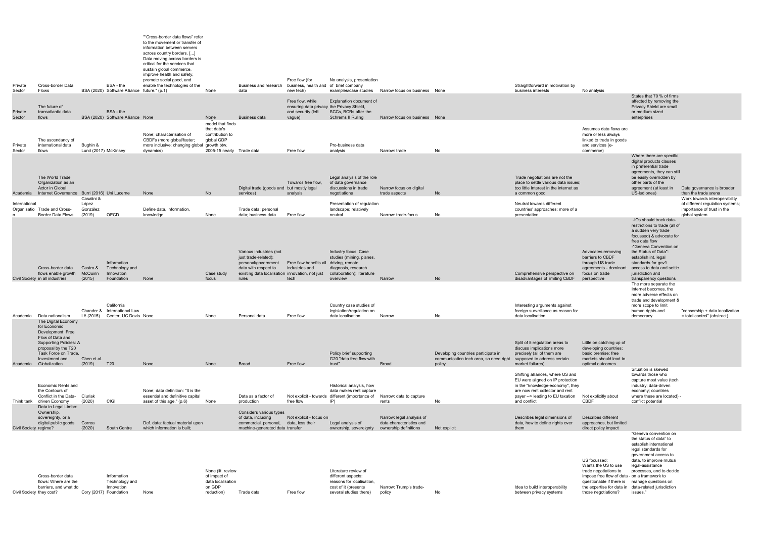| Private<br>Sector     | Cross-border Data<br>Flows                                                                                                                                                               |                                  | BSA - the<br>BSA (2020) Software Alliance future." (p.1)                                       | ""Cross-border data flows" refer<br>to the movement or transfer of<br>information between servers<br>across country borders. []<br>Data moving across borders is<br>critical for the services that<br>sustain global commerce,<br>improve health and safety,<br>promote social good, and<br>enable the technologies of the | None                                                                                          | Business and research business, health and of brief company<br>data                                                        | Free flow (for<br>new tech)                                           | No analysis, presentation                                                                                                             | examples/case studies Narrow focus on business None                            |                                                                                         | Straightforward in motivation by<br>business interests                                                                                                                                           | No analysis                                                                                                                                                                                  |                                                                                                                                                                                                                                                                      |                                                                                                |
|-----------------------|------------------------------------------------------------------------------------------------------------------------------------------------------------------------------------------|----------------------------------|------------------------------------------------------------------------------------------------|----------------------------------------------------------------------------------------------------------------------------------------------------------------------------------------------------------------------------------------------------------------------------------------------------------------------------|-----------------------------------------------------------------------------------------------|----------------------------------------------------------------------------------------------------------------------------|-----------------------------------------------------------------------|---------------------------------------------------------------------------------------------------------------------------------------|--------------------------------------------------------------------------------|-----------------------------------------------------------------------------------------|--------------------------------------------------------------------------------------------------------------------------------------------------------------------------------------------------|----------------------------------------------------------------------------------------------------------------------------------------------------------------------------------------------|----------------------------------------------------------------------------------------------------------------------------------------------------------------------------------------------------------------------------------------------------------------------|------------------------------------------------------------------------------------------------|
| Private<br>Sector     | The future of<br>transatlantic data<br>flows                                                                                                                                             |                                  | BSA - the<br>BSA (2020) Software Alliance None                                                 |                                                                                                                                                                                                                                                                                                                            | None                                                                                          | <b>Business data</b>                                                                                                       | Free flow, while<br>and security (left<br>vague)                      | Explanation document of<br>ensuring data privacy the Privacy Shield,<br>SCCs, BCRs after the<br><b>Schrems II Ruling</b>              | Narrow focus on business None                                                  |                                                                                         |                                                                                                                                                                                                  |                                                                                                                                                                                              | States that 70 % of firms<br>affected by removing the<br>Privacy Shield are small<br>or medium sized<br>enterprises                                                                                                                                                  |                                                                                                |
| Private<br>Sector     | The ascendancy of<br>international data<br>flows                                                                                                                                         | Bughin &<br>Lund (2017) McKinsey |                                                                                                | None: characterisation of<br>CBDFs (more global/faster;<br>more inclusive; changing global growth btw.<br>dynamics)                                                                                                                                                                                                        | model that finds<br>that data's<br>contribution to<br>global GDP<br>2005-15 nearly Trade data |                                                                                                                            | Free flow                                                             | Pro-business data<br>analysis                                                                                                         | Narrow: trade                                                                  | No                                                                                      |                                                                                                                                                                                                  | Assumes data flows are<br>more or less always<br>linked to trade in goods<br>and services (e-<br>commerce)                                                                                   |                                                                                                                                                                                                                                                                      |                                                                                                |
| Academia              | The World Trade<br>Organization as an<br>Actor in Global<br>Internet Governance                                                                                                          |                                  | Burri (2016) Uni Lucerne                                                                       | None                                                                                                                                                                                                                                                                                                                       | No                                                                                            | Digital trade (goods and but mostly legal<br>services)                                                                     | Towards free flow,<br>analysis                                        | Legal analysis of the role<br>of data governance<br>discussions in trade<br>negotiations                                              | Narrow focus on digital<br>trade aspects                                       | No                                                                                      | Trade negotiations are not the<br>place to settle various data issues:<br>too little Interest in the internet as<br>a common good                                                                |                                                                                                                                                                                              | Where there are specific<br>digital products clauses<br>in preferential trade<br>agreements, they can still<br>be easily overridden by<br>other parts of the<br>agreement (at least in<br>US-led ones)                                                               | Data governance is broader<br>than the trade arena                                             |
| International         | Organisatio Trade and Cross-                                                                                                                                                             | Casalini &<br>López<br>González  |                                                                                                | Define data, information.                                                                                                                                                                                                                                                                                                  |                                                                                               | Trade data; personal                                                                                                       |                                                                       | Presentation of regulation<br>landscape; relatively                                                                                   |                                                                                |                                                                                         | Neutral towards different<br>countries' approaches; more of a                                                                                                                                    |                                                                                                                                                                                              |                                                                                                                                                                                                                                                                      | Work towards interoperability<br>of different regulation systems<br>importance of trust in the |
|                       | <b>Border Data Flows</b><br>Cross-border data                                                                                                                                            | (2019)<br>Castro &               | OECD<br>Information<br>Technology and                                                          | knowledge                                                                                                                                                                                                                                                                                                                  | None                                                                                          | data; business data<br>Various industries (not<br>just trade-related);<br>personal/government<br>data with respect to      | Free flow<br>Free flow benefits all driving, remote<br>industries and | neutral<br>Industry focus: Case<br>studies (mining, planes,<br>diagnosis, research                                                    | Narrow: trade-focus                                                            | No                                                                                      | presentation                                                                                                                                                                                     | Advocates removing<br>barriers to CBDF<br>through US trade<br>agreements - dominant                                                                                                          | -IOs should track data-<br>restrictions to trade (all of<br>a sudden very trade<br>focussed) & advocate for<br>free data flow<br>-"Geneva Convention on<br>the Status of Data":<br>establish int. legal<br>standards for gov't<br>access to data and settle          | global system                                                                                  |
| Academia              | flows enable growth<br>Civil Society in all industries<br>Data nationalism                                                                                                               | McQuinn<br>(2015)<br>Lê (2015)   | Innovation<br>Foundation<br>California<br>Chander & International Law<br>Center, UC Davis None | None                                                                                                                                                                                                                                                                                                                       | Case study<br>focus<br>None                                                                   | existing data localisation innovation, not just<br>rules<br>Personal data                                                  | tech<br>Free flow                                                     | collaboration); literature<br>overview<br>Country case studies of<br>legislation/regulation on<br>data localisation                   | Narrow<br>Narrow                                                               | <b>No</b><br>No                                                                         | Comprehensive perspective on<br>disadvantages of limiting CBDF<br>Interesting arguments against<br>foreign surveillance as reason for<br>data localisation                                       | focus on trade<br>perspective                                                                                                                                                                | jurisdiction and<br>transparency questions<br>The more separate the<br>Internet becomes, the<br>more adverse effects on<br>trade and development &<br>more scope to limit<br>human rights and                                                                        | "censorship + data localization<br>= total control" (abstract)                                 |
| Academia              | The Digital Economy<br>for Economic<br>Development: Free<br>Flow of Data and<br>Supporting Policies: A<br>proposal by the T20<br>Task Force on Trade,<br>Investment and<br>Globalization | Chen et al.<br>(2019)            | T <sub>20</sub>                                                                                | None                                                                                                                                                                                                                                                                                                                       | None                                                                                          | <b>Broad</b>                                                                                                               | Free flow                                                             | Policy brief supporting<br>G20 "data free flow with<br>trust"                                                                         | <b>Broad</b>                                                                   | Developing countries participate in<br>communication tech area, so need right<br>policy | Split of 5 regulation areas to<br>discuss implications more<br>precisely (all of them are<br>supposed to address certain<br>market failures)                                                     | Little on catching up of<br>developing countries;<br>basic premise: free<br>markets should lead to<br>optimal outcomes                                                                       | democracy                                                                                                                                                                                                                                                            |                                                                                                |
|                       | <b>Economic Rents and</b><br>the Contours of<br>Conflict in the Data-<br>Think tank driven Economy                                                                                       | Ciuriak<br>(2020)                | <b>CIGI</b>                                                                                    | None: data definition: "It is the<br>essential and definitive capital<br>asset of this age." (p.6)                                                                                                                                                                                                                         | None                                                                                          | Data as a factor of<br>production                                                                                          | free flow                                                             | Historical analysis, how<br>data makes rent capture<br>Not explicit - towards different (importance of Narrow: data to capture<br>IP) | rents                                                                          | No                                                                                      | Shifting alliances, where US and<br>EU were aligned on IP protection<br>in the "knowledge-economy", they<br>are now rent collector and rent<br>payer -- > leading to EU taxation<br>and conflict | Not explicitly about<br>CBDF                                                                                                                                                                 | Situation is skewed<br>towards those who<br>capture most value (tech<br>industry; data-driven<br>economy; countries<br>where these are located)<br>conflict potential                                                                                                |                                                                                                |
| Civil Society regime? | Data in Legal Limbo:<br>Ownership,<br>sovereignty, or a<br>digital public goods                                                                                                          | Correa<br>(2020)                 | South Centre                                                                                   | Def. data: factual material upon<br>which information is built;                                                                                                                                                                                                                                                            |                                                                                               | Considers various types<br>of data, including<br>commercial, personal, data, less their<br>machine-generated data transfer | Not explicit - focus on                                               | Legal analysis of<br>ownership, sovereignty                                                                                           | Narrow: legal analysis of<br>data characteristics and<br>ownership definitions | Not explicit                                                                            | Describes legal dimensions of<br>data, how to define rights over<br>them                                                                                                                         | Describes different<br>approaches, but limited<br>direct policy impact                                                                                                                       |                                                                                                                                                                                                                                                                      |                                                                                                |
|                       | Cross-border data<br>flows: Where are the<br>barriers, and what do<br>Civil Society they cost?                                                                                           |                                  | Information<br>Technology and<br>Innovation<br>Cory (2017) Foundation                          | None                                                                                                                                                                                                                                                                                                                       | None (lit. review<br>of impact of<br>data localisation<br>on GDP<br>reduction)                | Trade data                                                                                                                 | Free flow                                                             | Literature review of<br>different aspects:<br>reasons for localisation,<br>cost of it (presents<br>several studies there)             | Narrow: Trump's trade-<br>policy                                               | No                                                                                      | Idea to build interoperability<br>between privacy systems                                                                                                                                        | US focussed:<br>Wants the US to use<br>trade negotiations to<br>impose free flow of data - on a framework to<br>questionable if there is<br>the expertise for data in<br>those negotiations? | "Geneva convention on<br>the status of data" to<br>establish international<br>legal standards for<br>government access to<br>data, to improve mutual<br>legal-assistance<br>processes, and to decide<br>manage questions on<br>data-related jurisdiction<br>issues." |                                                                                                |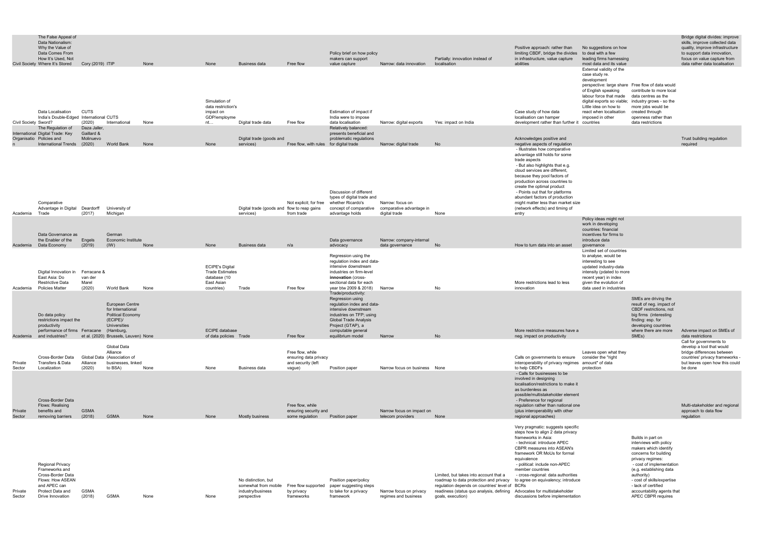| The False Appeal of             |                  |      |      |               |           |                            |                         |                                  |                                   |
|---------------------------------|------------------|------|------|---------------|-----------|----------------------------|-------------------------|----------------------------------|-----------------------------------|
| Data Nationalism:               |                  |      |      |               |           |                            |                         |                                  |                                   |
| Why the Value of                |                  |      |      |               |           |                            |                         |                                  | Positive approach: rather than    |
| Data Comes From                 |                  |      |      |               |           | Policy brief on how policy |                         |                                  | limiting CBDF, bridge the divides |
| How It's Used, Not              |                  |      |      |               |           | makers can support         |                         | Partially: innovation instead of | in infrastructure, value capture  |
| Civil Society Where It's Stored | Corv (2019) ITIP | None | None | Business data | Free flow | value capture              | Narrow: data innovation | localisation                     | abilities                         |
|                                 |                  |      |      |               |           |                            |                         |                                  |                                   |

Bridge digital divides: improve skills, improve collected data quality, improve infrastructure to support data innovation, focus on value capture from data rather data localisation

No suggestions on how to deal with a few leading firms harnessing most data and its value External validity of the case study re. development perspective: large share of English speaking labour force that made digital exports so viable;

Free flow of data would contribute to more local data centres as the industry grows - so the

|                   | Civil Society Sword? | Data Localisation<br>India's Double-Edged International CUTS                                                                               | CUTS<br>(2020)                            | International                                                                                                   | None | Simulation of<br>data restriction's<br>impact on<br>GDP/employme<br>nt                       | Digital trade data                                               | Free flow                                                                 | Estimation of impact if<br>India were to impose<br>data localisation                                                                                                                                    | Narrow: digital exports                                       | Yes: impact on India                                                                                                                                                                                | Case study of how data<br>localisation can hamper<br>development rather than further it                                                                                                                                                                                                                                                                                                                           | digital exports so viable; industry grows - so the<br>Little idea on how to<br>react when localisation<br>imposed in other<br>countries                                        | more jobs would be<br>created through<br>openness rather than<br>data restrictions                                                                                                                                                                                                              |                                                                                                                                         |
|-------------------|----------------------|--------------------------------------------------------------------------------------------------------------------------------------------|-------------------------------------------|-----------------------------------------------------------------------------------------------------------------|------|----------------------------------------------------------------------------------------------|------------------------------------------------------------------|---------------------------------------------------------------------------|---------------------------------------------------------------------------------------------------------------------------------------------------------------------------------------------------------|---------------------------------------------------------------|-----------------------------------------------------------------------------------------------------------------------------------------------------------------------------------------------------|-------------------------------------------------------------------------------------------------------------------------------------------------------------------------------------------------------------------------------------------------------------------------------------------------------------------------------------------------------------------------------------------------------------------|--------------------------------------------------------------------------------------------------------------------------------------------------------------------------------|-------------------------------------------------------------------------------------------------------------------------------------------------------------------------------------------------------------------------------------------------------------------------------------------------|-----------------------------------------------------------------------------------------------------------------------------------------|
|                   |                      | The Regulation of                                                                                                                          | Daza Jaller,                              |                                                                                                                 |      |                                                                                              |                                                                  |                                                                           | Relatively balanced:                                                                                                                                                                                    |                                                               |                                                                                                                                                                                                     |                                                                                                                                                                                                                                                                                                                                                                                                                   |                                                                                                                                                                                |                                                                                                                                                                                                                                                                                                 |                                                                                                                                         |
|                   |                      | International Digital Trade: Key<br>Organisatio Policies and                                                                               | Gaillard &<br>Molinuevo                   |                                                                                                                 |      |                                                                                              | Digital trade (goods and                                         |                                                                           | presents beneficial and<br>problematic regulations                                                                                                                                                      |                                                               |                                                                                                                                                                                                     | Acknowledges positive and                                                                                                                                                                                                                                                                                                                                                                                         |                                                                                                                                                                                |                                                                                                                                                                                                                                                                                                 | Trust building regulation                                                                                                               |
|                   |                      | International Trends                                                                                                                       | (2020)                                    | <b>World Bank</b>                                                                                               | None | None                                                                                         | services)                                                        | Free flow, with rules for digital trade                                   |                                                                                                                                                                                                         | Narrow: digital trade                                         | No                                                                                                                                                                                                  | negative aspects of regulation                                                                                                                                                                                                                                                                                                                                                                                    |                                                                                                                                                                                |                                                                                                                                                                                                                                                                                                 | required                                                                                                                                |
| Academia          |                      | Comparative<br>Advantage in Digital<br>Trade                                                                                               | Deardorff<br>(2017)                       | University of<br>Michigan                                                                                       |      |                                                                                              | Digital trade (goods and flow to reap gains<br>services)         | Not explicit; for free<br>from trade                                      | Discussion of different<br>types of digital trade and<br>whether Ricardo's<br>concept of comparative<br>advantage holds                                                                                 | Narrow: focus on<br>comparative advantage in<br>digital trade | None                                                                                                                                                                                                | - Illustrates how comparative<br>advantage still holds for some<br>trade aspects<br>- But also highlights that e.g.<br>cloud services are different,<br>because they pool factors of<br>production across countries to<br>create the optimal product<br>- Points out that for platforms<br>abundant factors of production<br>might matter less than market size<br>(network effects) and timing of<br>entry       |                                                                                                                                                                                |                                                                                                                                                                                                                                                                                                 |                                                                                                                                         |
|                   |                      |                                                                                                                                            |                                           |                                                                                                                 |      |                                                                                              |                                                                  |                                                                           |                                                                                                                                                                                                         |                                                               |                                                                                                                                                                                                     |                                                                                                                                                                                                                                                                                                                                                                                                                   | Policy ideas might not<br>work in developing                                                                                                                                   |                                                                                                                                                                                                                                                                                                 |                                                                                                                                         |
|                   |                      | Data Governance as<br>the Enabler of the                                                                                                   | Engels                                    | German<br><b>Economic Institute</b>                                                                             |      |                                                                                              |                                                                  |                                                                           | Data governance                                                                                                                                                                                         | Narrow: company-internal                                      |                                                                                                                                                                                                     |                                                                                                                                                                                                                                                                                                                                                                                                                   | countries: financial<br>incentives for firms to<br>introduce data                                                                                                              |                                                                                                                                                                                                                                                                                                 |                                                                                                                                         |
| Academia          |                      | Data Economy                                                                                                                               | (2019)                                    | (1W)                                                                                                            | None | None                                                                                         | <b>Business data</b>                                             | n/a                                                                       | advocacy                                                                                                                                                                                                | data governance                                               | <b>No</b>                                                                                                                                                                                           | How to turn data into an asset                                                                                                                                                                                                                                                                                                                                                                                    | governance<br>Limited set of countries                                                                                                                                         |                                                                                                                                                                                                                                                                                                 |                                                                                                                                         |
| Academia          |                      | Digital Innovation in<br>East Asia: Do<br><b>Restrictive Data</b><br><b>Policies Matter</b>                                                | Ferracane &<br>van der<br>Marel<br>(2020) | <b>World Bank</b>                                                                                               | None | <b>ECIPE's Digital</b><br><b>Trade Estimates</b><br>database (10<br>East Asian<br>countries) | Trade                                                            | Free flow                                                                 | Regression using the<br>regulation index and data-<br>intensive downstream<br>industries on firm-level<br>innovation (cross-<br>sectional data for each<br>year btw 2009 & 2018)<br>Trade/productivity: | Narrow                                                        | No                                                                                                                                                                                                  | More restrictions lead to less<br>innovation                                                                                                                                                                                                                                                                                                                                                                      | to analyse, would be<br>interesting to see<br>updated industry-data<br>intensity (pdated to more<br>recent year) in index<br>given the evolution of<br>data used in industries |                                                                                                                                                                                                                                                                                                 |                                                                                                                                         |
|                   |                      | Do data policy<br>restrictions impact the<br>productivity<br>performance of firms                                                          | Ferracane                                 | European Centre<br>for International<br><b>Political Economy</b><br>(ECIPE)<br><b>Universities</b><br>(Hamburg, |      | <b>ECIPE</b> database                                                                        |                                                                  |                                                                           | Regression using<br>regulation index and data-<br>intensive downstream<br>industries on TFP; using<br><b>Global Trade Analysis</b><br>Project (GTAP), a<br>computable general                           |                                                               |                                                                                                                                                                                                     | More restrictive measures have a                                                                                                                                                                                                                                                                                                                                                                                  |                                                                                                                                                                                | SMEs are driving the<br>result of neg. impact of<br>CBDF restrictions, not<br>big firms (interesting<br>finding: esp. for<br>developing countries<br>where there are more                                                                                                                       | Adverse impact on SMEs of                                                                                                               |
| Academia          |                      | and industries?                                                                                                                            |                                           | et al. (2020) Brussels, Leuven) None                                                                            |      | of data policies Trade                                                                       |                                                                  | Free flow                                                                 | equilibrium model                                                                                                                                                                                       | Narrow                                                        | No                                                                                                                                                                                                  | neg. impact on productivity                                                                                                                                                                                                                                                                                                                                                                                       |                                                                                                                                                                                | SME <sub>s</sub> )                                                                                                                                                                                                                                                                              | data restrictions<br>Call for governments to                                                                                            |
| Private<br>Sector |                      | Cross-Border Data<br>Transfers & Data<br>Localization                                                                                      | Alliance<br>(2020)                        | Global Data<br>Alliance<br>Global Data (Association of<br>businesses, linked<br>to BSA)                         | None | None                                                                                         | Business data                                                    | Free flow, while<br>ensuring data privacy<br>and security (left<br>vague) | Position paper                                                                                                                                                                                          | Narrow focus on business None                                 |                                                                                                                                                                                                     | Calls on governments to ensure<br>interoperability of privacy regimes amount" of data<br>to help CBDFs                                                                                                                                                                                                                                                                                                            | Leaves open what they<br>consider the "right<br>protection                                                                                                                     |                                                                                                                                                                                                                                                                                                 | develop a tool that would<br>bridge differences between<br>countries' privacy frameworks -<br>but leaves open how this could<br>be done |
| Private<br>Sector |                      | Cross-Border Data<br>Flows: Realising<br>benefits and<br>removing barriers                                                                 | <b>GSMA</b><br>(2018)                     | <b>GSMA</b>                                                                                                     | None | None                                                                                         | <b>Mostly business</b>                                           | Free flow, while<br>ensuring security and<br>some regulation              | Position paper                                                                                                                                                                                          | Narrow focus on impact on<br>telecom providers                | None                                                                                                                                                                                                | - Calls for businesses to be<br>involved in designing<br>localisation/restrictions to make it<br>as burdenless as<br>possible/multistakeholder element<br>- Preference for regional<br>regulation rather than national one<br>(plus interoperability with other<br>regional approaches)                                                                                                                           |                                                                                                                                                                                |                                                                                                                                                                                                                                                                                                 | Multi-stakeholder and regional<br>approach to data flow<br>regulation                                                                   |
|                   |                      |                                                                                                                                            |                                           |                                                                                                                 |      |                                                                                              |                                                                  |                                                                           |                                                                                                                                                                                                         |                                                               |                                                                                                                                                                                                     |                                                                                                                                                                                                                                                                                                                                                                                                                   |                                                                                                                                                                                |                                                                                                                                                                                                                                                                                                 |                                                                                                                                         |
| Private<br>Sector |                      | <b>Regional Privacy</b><br>Frameworks and<br>Cross-Border Data<br>Flows: How ASEAN<br>and APEC can<br>Protect Data and<br>Drive Innovation | <b>GSMA</b><br>(2018)                     | GSMA                                                                                                            | None | None                                                                                         | No distinction, but<br>somewhat from mobile<br>industry/business | by privacy<br>frameworks                                                  | Position paper/policy<br>Free flow supported paper suggesting steps<br>to take for a privacy<br>framework                                                                                               | Narrow focus on privacy<br>regimes and business               | Limited, but takes into account that a<br>roadmap to data protection and privacy<br>regulation depends on countries' level of BCRs<br>readiness (status quo analysis, defining<br>goals, execution) | Very pragmatic: suggests specific<br>steps how to align 2 data privacy<br>frameworks in Asia:<br>- technical: introduce APEC<br>CBPR measures into ASEAN's<br>framework OR MoUs for formal<br>equivalence<br>- political: include non-APEC<br>member countries<br>- cross-regional: data authorities<br>to agree on equivalency; introduce<br>Advocates for multistakeholder<br>discussions before implementation |                                                                                                                                                                                | Builds in part on<br>interviews with policy<br>makers which identify<br>concerns for building<br>privacy regimes:<br>- cost of implementation<br>(e.g. establishing data<br>authority)<br>- cost of skills/expertise<br>- lack of certified<br>accountability agents that<br>APEC CBPR requires |                                                                                                                                         |
|                   |                      |                                                                                                                                            |                                           |                                                                                                                 |      |                                                                                              | perspective                                                      |                                                                           |                                                                                                                                                                                                         |                                                               |                                                                                                                                                                                                     |                                                                                                                                                                                                                                                                                                                                                                                                                   |                                                                                                                                                                                |                                                                                                                                                                                                                                                                                                 |                                                                                                                                         |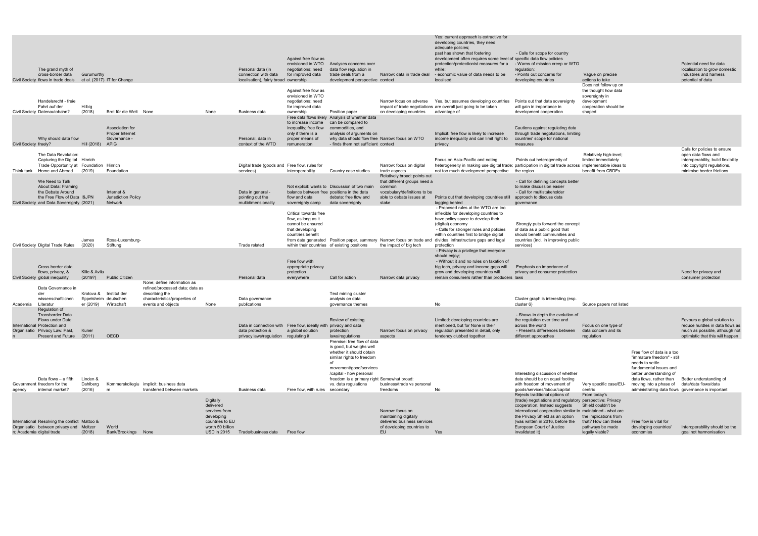|                       |                                                                                                                                |                                |                                                              |                                                                        |                                                                  |                                                                                       | Against free flow as<br>envisioned in WTO                                                                 | Analyses concerns over                                                                                                                                                  |                                                                                                                                    | Yes: current approach is extractive for<br>developing countries, they need<br>adequate policies;<br>past has shown that fostering<br>development often requires some level of specific data flow policies<br>protection/protectionist measures for a | - Calls for scope for country<br>- Warns of mission creep or WTO                                                                                                                          |                                                                                                                   |                                                                                                                             | Potential need for data                                                                                                |
|-----------------------|--------------------------------------------------------------------------------------------------------------------------------|--------------------------------|--------------------------------------------------------------|------------------------------------------------------------------------|------------------------------------------------------------------|---------------------------------------------------------------------------------------|-----------------------------------------------------------------------------------------------------------|-------------------------------------------------------------------------------------------------------------------------------------------------------------------------|------------------------------------------------------------------------------------------------------------------------------------|------------------------------------------------------------------------------------------------------------------------------------------------------------------------------------------------------------------------------------------------------|-------------------------------------------------------------------------------------------------------------------------------------------------------------------------------------------|-------------------------------------------------------------------------------------------------------------------|-----------------------------------------------------------------------------------------------------------------------------|------------------------------------------------------------------------------------------------------------------------|
|                       | The grand myth of<br>cross-border data<br>Civil Society flows in trade deals                                                   | Gurumurthy                     | et al. (2017) IT for Change                                  |                                                                        |                                                                  | Personal data (in<br>connection with data<br>localisation), fairly broad ownership    | negotiations; need<br>for improved data                                                                   | data flow regulation in<br>trade deals from a<br>development perspective context                                                                                        | Narrow: data in trade deal                                                                                                         | while:<br>- economic value of data needs to be<br>localised                                                                                                                                                                                          | regulation;<br>- Points out concerns for<br>developing countries                                                                                                                          | Vaque on precise<br>actions to take                                                                               |                                                                                                                             | localisation to grow domestic<br>industries and harness<br>potential of data                                           |
|                       | Handelsrecht - freie<br>Fahrt auf der<br>Civil Society Datenautobahn?                                                          | Hilbig<br>(2018)               | Brot für die Welt None                                       |                                                                        | None                                                             | Business data                                                                         | Against free flow as<br>envisioned in WTO<br>negotiations; need<br>for improved data<br>ownership         | Position paper                                                                                                                                                          | Narrow focus on adverse<br>on developing countries                                                                                 | Yes, but assumes developing countries<br>impact of trade negotiations are overall just going to be taken<br>advantage of                                                                                                                             | Points out that data sovereignty<br>will gain in importance in<br>development cooperation                                                                                                 | Does not follow up on<br>the thought how data<br>sovereignty in<br>development<br>cooperation should be<br>shaped |                                                                                                                             |                                                                                                                        |
|                       | Why should data flow                                                                                                           |                                | Association for<br>Proper Internet<br>Governance -           |                                                                        |                                                                  | Personal, data in                                                                     | to increase income<br>inequality; free flow<br>only if there is a<br>proper means of                      | Free data flows likely Analysis of whether data<br>can be compared to<br>commodities, and<br>analysis of arguments on<br>why data should flow free Narrow: focus on WTO |                                                                                                                                    | Implicit: free flow is likely to increase<br>income inequality and can limit right to                                                                                                                                                                | Cautions against regulating data<br>through trade negotiations, limiting<br>countries' scope for national                                                                                 |                                                                                                                   |                                                                                                                             |                                                                                                                        |
| Civil Society freely? |                                                                                                                                | Hill (2018) APIG               |                                                              |                                                                        |                                                                  | context of the WTO                                                                    | remuneration                                                                                              | - finds them not sufficient context                                                                                                                                     |                                                                                                                                    | privacy                                                                                                                                                                                                                                              | measures                                                                                                                                                                                  |                                                                                                                   |                                                                                                                             | Calls for policies to ensure                                                                                           |
|                       | The Data Revolution:<br>Capturing the Digital Hinrich<br>Trade Opportunity at Foundation Hinrich<br>Think tank Home and Abroad | (2019)                         | Foundation                                                   |                                                                        |                                                                  | Digital trade (goods and Free flow, rules for<br>services)                            | interoperability                                                                                          | Country case studies                                                                                                                                                    | Narrow: focus on digital<br>trade aspects                                                                                          | Focus on Asia-Pacific and noting<br>heterogeneity in making use digital trade; participation in digital trade across implementable ideas to<br>not too much development perspective                                                                  | Points out heterogeneity of<br>the region                                                                                                                                                 | Relatively high-level;<br>limited immediately<br>benefit from CBDFs                                               |                                                                                                                             | open data flows and<br>interoperability, build flexibility<br>into copyright regulations,<br>minimise border frictions |
|                       | We Need to Talk<br>About Data: Framing<br>the Debate Around<br>the Free Flow of Data I&JPN                                     |                                | Internet &<br><b>Jurisdiction Policy</b>                     |                                                                        |                                                                  | Data in general -<br>pointing out the                                                 | flow and data                                                                                             | Not explicit: wants to Discussion of two main<br>balance between free positions in the data<br>debate: free flow and                                                    | Relatively broad: points out<br>that different groups need a<br>common<br>vocabulary/definitions to be<br>able to debate issues at | Points out that developing countries still                                                                                                                                                                                                           | - Call for defining concepts better<br>to make discussion easier<br>- Call for multistakeholder<br>approach to discuss data                                                               |                                                                                                                   |                                                                                                                             |                                                                                                                        |
|                       | Civil Society and Data Sovereignty (2021)                                                                                      |                                | Network                                                      |                                                                        |                                                                  | multidimensionality                                                                   | sovereignty camp                                                                                          | data sovereignty                                                                                                                                                        | stake                                                                                                                              | lagging behind<br>- Proposed rules at the WTO are too                                                                                                                                                                                                | qovernance                                                                                                                                                                                |                                                                                                                   |                                                                                                                             |                                                                                                                        |
|                       |                                                                                                                                |                                |                                                              |                                                                        |                                                                  |                                                                                       | Critical towards free<br>flow, as long as it<br>cannot be ensured<br>that developing<br>countries benefit |                                                                                                                                                                         |                                                                                                                                    | inflexible for developing countries to<br>have policy space to develop their<br>(digital) economy<br>- Calls for stronger rules and policies<br>within countries first to bridge digital                                                             | Strongly puts forward the concept<br>of data as a public good that<br>should benefit communities and                                                                                      |                                                                                                                   |                                                                                                                             |                                                                                                                        |
|                       | Civil Society Digital Trade Rules                                                                                              | James<br>(2020)                | Rosa-Luxemburg-<br>Stiftung                                  |                                                                        |                                                                  | Trade related                                                                         |                                                                                                           | within their countries of existing positions                                                                                                                            | from data generated  Position paper, summary  Narrow: focus on trade and<br>the impact of big tech                                 | divides, infrastructure gaps and legal<br>protection<br>- Privacy is a privilege that everyone                                                                                                                                                       | countries (incl. in improving public<br>services)                                                                                                                                         |                                                                                                                   |                                                                                                                             |                                                                                                                        |
|                       | Cross border data<br>flows, privacy, &<br>Civil Society global inequality                                                      | Kilic & Avila<br>(2019?)       | <b>Public Citizen</b>                                        |                                                                        |                                                                  | Personal data                                                                         | Free flow with<br>appropriate privacy<br>protection<br>everywhere                                         | Call for action                                                                                                                                                         | Narrow: data privacy                                                                                                               | should enjoy;<br>- Without it and no rules on taxation of<br>big tech, privacy and income gaps will<br>grow and developing countries will<br>remain consumers rather than producers laws                                                             | Emphasis on importance of<br>privacy and consumer protection                                                                                                                              |                                                                                                                   |                                                                                                                             | Need for privacy and<br>consumer protection                                                                            |
|                       | Data Governance in                                                                                                             |                                |                                                              | None; define information as<br>refined/processed data; data as         |                                                                  |                                                                                       |                                                                                                           |                                                                                                                                                                         |                                                                                                                                    |                                                                                                                                                                                                                                                      |                                                                                                                                                                                           |                                                                                                                   |                                                                                                                             |                                                                                                                        |
| Academia              | der<br>wissenschaftlichen<br>Literatur<br>Regulation of                                                                        | er (2019)                      | Krotova & Institut der<br>Eppelsheim deutschen<br>Wirtschaft | describing the<br>characteristics/properties of<br>events and objects  | None                                                             | Data governance<br>publications                                                       |                                                                                                           | Text mining cluster<br>analysis on data<br>governance themes                                                                                                            |                                                                                                                                    | No.                                                                                                                                                                                                                                                  | Cluster graph is interesting (esp.<br>cluster 6)                                                                                                                                          | Source papers not listed                                                                                          |                                                                                                                             |                                                                                                                        |
|                       | <b>Transborder Data</b><br>Flows under Data<br>International Protection and<br>Organisatio Privacy Law: Past,                  | Kuner                          |                                                              |                                                                        |                                                                  | Data in connection with Free flow, ideally with privacy and data<br>data protection & | a global solution                                                                                         | Review of existing<br>protection                                                                                                                                        | Narrow: focus on privacy                                                                                                           | Limited: developing countries are<br>mentioned, but for None is their<br>regulation presented in detail, only                                                                                                                                        | - Shows in depth the evolution of<br>the regulation over time and<br>across the world<br>- Presents differences between                                                                   | Focus on one type of<br>data concern and its                                                                      |                                                                                                                             | Favours a global solution to<br>reduce hurdles in data flows as<br>much as possible, although not                      |
|                       | Present and Future                                                                                                             | (2011)                         | OECD                                                         |                                                                        |                                                                  | privacy laws/regulation regulating it                                                 |                                                                                                           | laws/regulations<br>Premise: free flow of data<br>is good, but weighs well<br>whether it should obtain<br>similar rights to freedom                                     | aspects                                                                                                                            | tendency clubbed together                                                                                                                                                                                                                            | different approaches                                                                                                                                                                      | regulation                                                                                                        | Free flow of data is a too<br>"immature freedom" - still<br>needs to settle                                                 | optimistic that this will happen                                                                                       |
| agency                | Data flows – a fifth<br>Government freedom for the<br>internal market?                                                         | Linden &<br>Dahlberg<br>(2016) | m                                                            | Kommerskollegiu implicit: business data<br>transferred between markets |                                                                  | Business data                                                                         | Free flow, with rules secondary                                                                           | movement/good/services<br>/capital - how personal<br>freedom is a primary right Somewhat broad:<br>vs. data regulations                                                 | business/trade vs personal<br>freedoms                                                                                             | No.                                                                                                                                                                                                                                                  | Interesting discussion of whether<br>data should be on equal footing<br>with freedom of movement of<br>goods/services/labour/capital                                                      | Very specific case/EU-<br>centric                                                                                 | fundamental issues and<br>better understanding of<br>data flows, rather than<br>moving into a phase of data/data flows/data | Better understanding of<br>administrating data flows governance is important                                           |
|                       |                                                                                                                                |                                |                                                              |                                                                        | Digitally<br>delivered<br>services from                          |                                                                                       |                                                                                                           |                                                                                                                                                                         | Narrow: focus on                                                                                                                   |                                                                                                                                                                                                                                                      | Rejects traditional options of<br>(trade) negotiations and regulatory perspective: Privacy<br>cooperation. Instead suggests<br>international cooperation similar to maintained - what are | From today's<br>Shield couldn't be                                                                                |                                                                                                                             |                                                                                                                        |
|                       | International Resolving the conflict Mattoo &<br>Organisatio between privacy and Meltzer<br>n; Academia digital trade          | (2018)                         | World<br>Bank/Brookings None                                 |                                                                        | developing<br>countries to EU<br>worth 50 billion<br>USD in 2015 | Trade/business data Free flow                                                         |                                                                                                           |                                                                                                                                                                         | maintaining digitally<br>delivered business services<br>of developing countries to<br>EU                                           | Yes                                                                                                                                                                                                                                                  | the Privacy Shield as an option<br>(was written in 2016, before the<br>European Court of Justice<br>invalidated it)                                                                       | the implications from<br>that? How can these<br>pathways be made<br>legally viable?                               | Free flow is vital for<br>developing countries'<br>economies                                                                | Interoperability should be the<br>goal not harmonisation                                                               |
|                       |                                                                                                                                |                                |                                                              |                                                                        |                                                                  |                                                                                       |                                                                                                           |                                                                                                                                                                         |                                                                                                                                    |                                                                                                                                                                                                                                                      |                                                                                                                                                                                           |                                                                                                                   |                                                                                                                             |                                                                                                                        |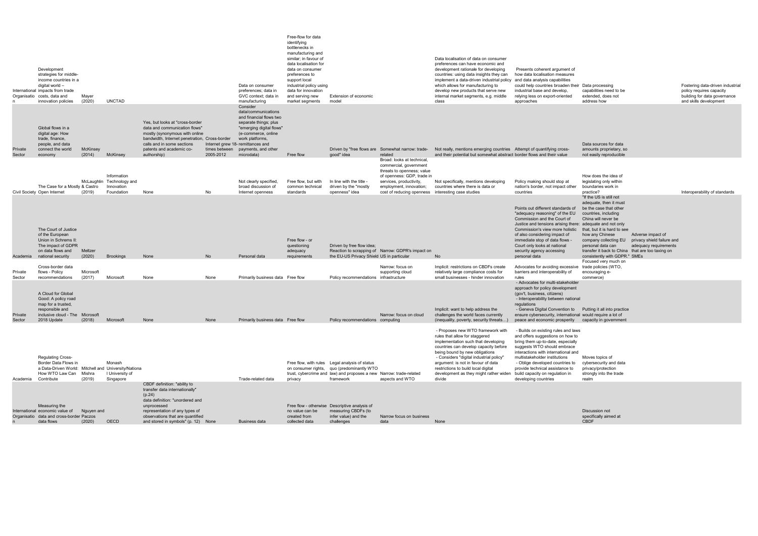data and cross-border data flows Paczos (2020) OECD observations that are quantified and stored in symbols" (p. 12) None Business data created from collected data infer value) and the challenges Narrow focus on business data None

|                   | Development<br>strategies for middle-<br>income countries in a<br>digital world -<br>International impacts from trade<br>Organisatio costs, data and<br>innovation policies | Mayer<br>(2020)     | <b>UNCTAD</b>                                                        |                                                                                                                                                                                                                               |                            | Data on consumer<br>preferences; data in<br>GVC context: data in<br>manufacturing<br>Consider<br>data/communications                                                                             | Free-flow for data<br>identifying<br>bottlenecks in<br>manufacturing and<br>similar; in favour of<br>data localisation for<br>data on consumer<br>preferences to<br>support local<br>industrial policy using<br>data for innovation<br>and serving new<br>market segments | Extension of economic<br>model                                                                                                                                                   |                                                                                                                                                                                                                              | Data localisation of data on consumer<br>preferences can have economic and<br>development rationale for developing<br>countries: using data insights they can<br>implement a data-driven industrial policy<br>which allows for manufacturing to<br>develop new products that serve new<br>internal market segments, e.g. middle<br>class                                                          | Presents coherent argument of<br>how data localisation measures<br>and data analysis capabilities<br>could help countries broaden their<br>industrial base and develop,<br>relying less on export-oriented<br>approaches                                                                                                                            | Data processing<br>capabilities need to be<br>extended, does not<br>address how                                                                                                                                                                                                                                                                                                             | Fostering data-driven industrial<br>policy requires capacity<br>building for data governance<br>and skills development |
|-------------------|-----------------------------------------------------------------------------------------------------------------------------------------------------------------------------|---------------------|----------------------------------------------------------------------|-------------------------------------------------------------------------------------------------------------------------------------------------------------------------------------------------------------------------------|----------------------------|--------------------------------------------------------------------------------------------------------------------------------------------------------------------------------------------------|---------------------------------------------------------------------------------------------------------------------------------------------------------------------------------------------------------------------------------------------------------------------------|----------------------------------------------------------------------------------------------------------------------------------------------------------------------------------|------------------------------------------------------------------------------------------------------------------------------------------------------------------------------------------------------------------------------|---------------------------------------------------------------------------------------------------------------------------------------------------------------------------------------------------------------------------------------------------------------------------------------------------------------------------------------------------------------------------------------------------|-----------------------------------------------------------------------------------------------------------------------------------------------------------------------------------------------------------------------------------------------------------------------------------------------------------------------------------------------------|---------------------------------------------------------------------------------------------------------------------------------------------------------------------------------------------------------------------------------------------------------------------------------------------------------------------------------------------------------------------------------------------|------------------------------------------------------------------------------------------------------------------------|
| Private<br>Sector | Global flows in a<br>digital age: How<br>trade, finance,<br>people, and data<br>connect the world<br>economy                                                                | McKinsey<br>(2014)  | McKinsey                                                             | Yes, but looks at "cross-border"<br>data and communication flows"<br>mostly (synonymous with online<br>bandwidth, Internet penetration, Cross-border<br>calls and in some sections<br>patents and academic co-<br>authorship) | times between<br>2005-2012 | and financial flows two<br>separate things; plus<br>"emerging digital flows"<br>(e-commerce, online<br>work platforms,<br>Internet grew 18- remittances and<br>payments, and other<br>microdata) | Free flow                                                                                                                                                                                                                                                                 | good" idea                                                                                                                                                                       | Driven by "free flows are Somewhat narrow: trade-<br>related                                                                                                                                                                 | Not really, mentions emerging countries Attempt of quantifying cross-<br>and their potential but somewhat abstract border flows and their value                                                                                                                                                                                                                                                   |                                                                                                                                                                                                                                                                                                                                                     | Data sources for data<br>amounts proprietary, so<br>not easily reproducible                                                                                                                                                                                                                                                                                                                 |                                                                                                                        |
|                   | The Case for a Mostly & Castro<br>Civil Society Open Internet                                                                                                               | (2019)              | Information<br>McLaughlin Technology and<br>Innovation<br>Foundation | None                                                                                                                                                                                                                          | No                         | Not clearly specified,<br>broad discussion of<br>Internet openness                                                                                                                               | Free flow, but with<br>common technical<br>standards                                                                                                                                                                                                                      | In line with the title -<br>driven by the "mostly<br>openness" idea                                                                                                              | Broad: looks at technical,<br>commercial, government<br>threats to openness; value<br>of openness: GDP, trade in<br>services, productivity,<br>employment, innovation;<br>cost of reducing openness interesting case studies | Not specifically, mentions developing<br>countries where there is data or                                                                                                                                                                                                                                                                                                                         | Policy making should stop at<br>nation's border, not impact other<br>countries                                                                                                                                                                                                                                                                      | How does the idea of<br>legislating only within<br>boundaries work in<br>practice?                                                                                                                                                                                                                                                                                                          | Interoperability of standards                                                                                          |
|                   | The Court of Justice<br>of the European<br>Union in Schrems II:<br>The impact of GDPR<br>on data flows and<br>Academia national security                                    | Meltzer<br>(2020)   | <b>Brookings</b>                                                     | None                                                                                                                                                                                                                          | No                         | Personal data                                                                                                                                                                                    | Free flow - or<br>questioning<br>adequacy<br>requirements                                                                                                                                                                                                                 | Driven by free flow idea;<br>the EU-US Privacy Shield US in particular                                                                                                           | Reaction to scrapping of Narrow: GDPR's impact on                                                                                                                                                                            | <b>No</b>                                                                                                                                                                                                                                                                                                                                                                                         | Points out different standards of<br>"adequacy reasoning" of the EU<br>Commission and the Court of<br>Justice and tensions arising there: adequate and not only<br>Commission's view more holistic<br>of also considering impact of<br>immediate stop of data flows -<br>Court only looks at national<br>security agency accessing<br>personal data | "If the US is still not<br>adequate, then it must<br>be the case that other<br>countries, including<br>China will never be<br>that, but it is hard to see<br>how any Chinese<br>Adverse impact of<br>privacy shield failure and<br>company collecting EU<br>personal data can<br>adequacy requirements<br>transfer it back to China that are too taxing on<br>consistently with GDPR." SMEs |                                                                                                                        |
| Private<br>Sector | Cross-border data<br>flows - Policy<br>recommendations                                                                                                                      | Microsoft<br>(2017) | Microsoft                                                            | None                                                                                                                                                                                                                          | None                       | Primarily business data Free flow                                                                                                                                                                |                                                                                                                                                                                                                                                                           | Policy recommendations infrastructure                                                                                                                                            | Narrow: focus on<br>supporting cloud                                                                                                                                                                                         | Implicit: restrictions on CBDFs create<br>relatively large compliance costs for<br>small businesses - hinder innovation                                                                                                                                                                                                                                                                           | Advocates for avoiding excessive<br>barriers and interoperability of<br>rules                                                                                                                                                                                                                                                                       | Focused very much on<br>trade policies (WTO,<br>encouraging e-<br>commerce)                                                                                                                                                                                                                                                                                                                 |                                                                                                                        |
| Private<br>Sector | A Cloud for Global<br>Good: A policy road<br>map for a trusted.<br>responsible and<br>inclusive cloud - The Microsoft<br>2018 Update                                        | (2018)              | Microsoft                                                            | None                                                                                                                                                                                                                          | None                       | Primarily business data Free flow                                                                                                                                                                |                                                                                                                                                                                                                                                                           | Policy recommendations computing                                                                                                                                                 | Narrow: focus on cloud                                                                                                                                                                                                       | Implicit: want to help address the<br>challenges the world faces currently<br>(inequality, poverty, security threats)                                                                                                                                                                                                                                                                             | - Advocates for multi-stakeholder<br>approach for policy development<br>(gov't, business, citizens)<br>- Interoperability between national<br>regulations<br>- Geneva Digital Convention to Putting it all into practice<br>ensure cybersecurity, international would require a lot of<br>peace and economic prosperity                             | capacity in government                                                                                                                                                                                                                                                                                                                                                                      |                                                                                                                        |
| Academia          | <b>Regulating Cross-</b><br>Border Data Flows in<br>a Data-Driven World: Mitchell and University/Nationa<br>How WTO Law Can<br>Contribute                                   | Mishra<br>(2019)    | Monash<br>I University of<br>Singapore                               |                                                                                                                                                                                                                               |                            | Trade-related data                                                                                                                                                                               | privacy                                                                                                                                                                                                                                                                   | Free flow, with rules Legal analysis of status<br>on consumer rights, quo (predominantly WTO<br>trust, cybercrime and law) and proposes a new Narrow: trade-related<br>framework | aspects and WTO                                                                                                                                                                                                              | - Proposes new WTO framework with<br>rules that allow for staggered<br>implementation such that developing<br>countries can develop capacity before<br>being bound by new obligations<br>- Considers "digital industrial policy"<br>argument: is not in favour of data<br>restrictions to build local digital<br>development as they might rather widen build capacity on regulation in<br>divide | - Builds on existing rules and laws<br>and offers suggestions on how to<br>bring them up-to-date, especially<br>suggests WTO should embrace<br>interactions with international and<br>multistakeholder institutions<br>- Oblige developed countries to<br>provide technical assistance to<br>developing countries                                   | Moves topics of<br>cybersecurity and data<br>privacy/protection<br>strongly into the trade<br>realm                                                                                                                                                                                                                                                                                         |                                                                                                                        |
|                   | Measuring the<br>International economic value of Nguyen and<br>Organisatio data and cross-border Paczos                                                                     |                     |                                                                      | CBDF definition: "ability to<br>transfer data internationally"<br>(p.24)<br>data definition: "unordered and<br>unprocessed<br>representation of any types of<br>observations that are quantified                              |                            |                                                                                                                                                                                                  | no value can be<br>created from                                                                                                                                                                                                                                           | Free flow - otherwise Descriptive analysis of<br>measuring CBDFs (to<br>infer value) and the                                                                                     | Narrow focus on business                                                                                                                                                                                                     |                                                                                                                                                                                                                                                                                                                                                                                                   |                                                                                                                                                                                                                                                                                                                                                     | Discussion not<br>specifically aimed at                                                                                                                                                                                                                                                                                                                                                     |                                                                                                                        |

n

| I |   |  |
|---|---|--|
|   |   |  |
|   | I |  |

CBDF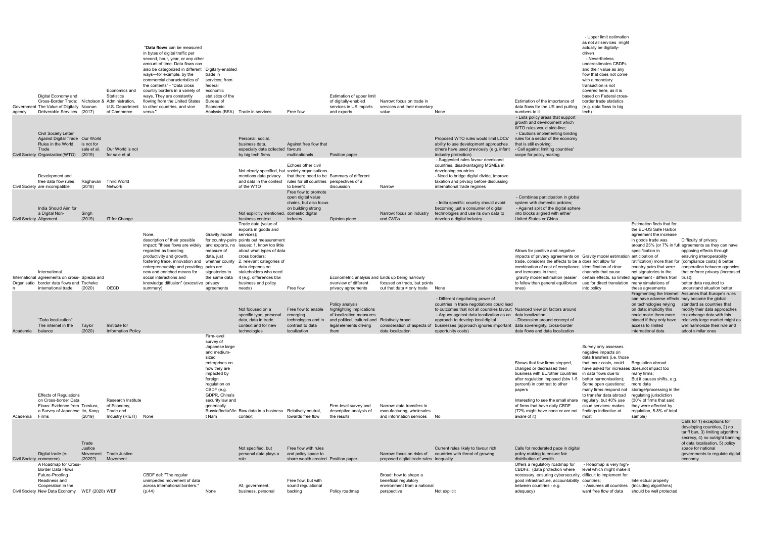- Upper limit estimation as not all services might

| agency                  | Digital Economy and<br>Cross-Border Trade: Nicholson & Administration,<br>Government The Value of Digitally Noonan<br>Deliverable Services (2017)                        |                                     | Economics and<br>Statistics<br>U.S. Department<br>of Commerce          | "Data flows can be measured<br>in bytes of digital traffic per<br>second, hour, year, or any other<br>amount of time. Data flows can<br>also be categorized in different Digitally-enabled<br>ways—for example, by the<br>commercial characteristics of<br>the contents" - "Data cross<br>country borders in a variety of<br>ways. They are constantly<br>flowing from the United States<br>to other countries, and vice<br>versa. | trade in<br>services; from<br>federal<br>economic<br>statistics of the<br>Bureau of<br>Economic                                                                                                                           | Analysis (BEA) Trade in services                                                                                                                                                                                                                                                                            | Free flow                                                                                             | Estimation of upper limit<br>of digitally-enabled<br>services in US imports<br>and exports                                                                 | Narrow: focus on trade in<br>services and their monetary<br>value                                                                       | None                                                                                                                                                                                                                                                                                                                                                                                      | Estimation of the importance of<br>data flows for the US and putting<br>numbers to it<br>- Lists policy areas that support                                                                                                                                                                                                                                                                                       | as not all scrvices inlight<br>actually be digitally-<br>driven<br>- Nevertheless<br>underestimates CBDFs<br>and their value as any<br>flow that does not come<br>with a monetary<br>transaction is not<br>covered here, as it is<br>based on Federal cross-<br>border trade statistics<br>(e.g. data flows to big<br>tech)                    |                                                                                                                                                                                                                                 |                                                                                                                                                                                                                                                                                                                                 |
|-------------------------|--------------------------------------------------------------------------------------------------------------------------------------------------------------------------|-------------------------------------|------------------------------------------------------------------------|------------------------------------------------------------------------------------------------------------------------------------------------------------------------------------------------------------------------------------------------------------------------------------------------------------------------------------------------------------------------------------------------------------------------------------|---------------------------------------------------------------------------------------------------------------------------------------------------------------------------------------------------------------------------|-------------------------------------------------------------------------------------------------------------------------------------------------------------------------------------------------------------------------------------------------------------------------------------------------------------|-------------------------------------------------------------------------------------------------------|------------------------------------------------------------------------------------------------------------------------------------------------------------|-----------------------------------------------------------------------------------------------------------------------------------------|-------------------------------------------------------------------------------------------------------------------------------------------------------------------------------------------------------------------------------------------------------------------------------------------------------------------------------------------------------------------------------------------|------------------------------------------------------------------------------------------------------------------------------------------------------------------------------------------------------------------------------------------------------------------------------------------------------------------------------------------------------------------------------------------------------------------|------------------------------------------------------------------------------------------------------------------------------------------------------------------------------------------------------------------------------------------------------------------------------------------------------------------------------------------------|---------------------------------------------------------------------------------------------------------------------------------------------------------------------------------------------------------------------------------|---------------------------------------------------------------------------------------------------------------------------------------------------------------------------------------------------------------------------------------------------------------------------------------------------------------------------------|
|                         | <b>Civil Society Letter</b><br>Against Digital Trade Our World<br>Rules in the World<br>Trade<br>Civil Society Organization (WTO)                                        | is not for<br>sale et al.<br>(2019) | Our World is not<br>for sale et al                                     |                                                                                                                                                                                                                                                                                                                                                                                                                                    |                                                                                                                                                                                                                           | Personal, social,<br>business data.<br>especially data collected favours<br>by big tech firms                                                                                                                                                                                                               | Against free flow that<br>multinationals                                                              | Position paper                                                                                                                                             |                                                                                                                                         | Proposed WTO rules would limit LDCs'<br>ability to use development approaches<br>others have used previously (e.g. infant<br>industry protection)                                                                                                                                                                                                                                         | growth and development which<br>WTO rules would side-line;<br>- Cautions implementing binding<br>rules for a sector of the economy<br>that is still evolving;<br>- Call against limiting countries'<br>scope for policy making                                                                                                                                                                                   |                                                                                                                                                                                                                                                                                                                                                |                                                                                                                                                                                                                                 |                                                                                                                                                                                                                                                                                                                                 |
|                         | Development and<br>free data flow rules<br>Civil Society are incompatible                                                                                                | Raghavan<br>(2018)                  | Third World<br>Network                                                 |                                                                                                                                                                                                                                                                                                                                                                                                                                    |                                                                                                                                                                                                                           | Not clearly specified, but society organisations<br>mentions data privacy<br>and data in the context<br>of the WTO                                                                                                                                                                                          | Echoes other civil<br>rules for all countries perspectives of a<br>to benefit<br>Free flow to promote | that there need to be Summary of different<br>discussion                                                                                                   | Narrow                                                                                                                                  | - Suggested rules favour developed<br>countries, disadvantaging MSMEs in<br>developing countries<br>- Need to bridge digital divide, improve<br>taxation and privacy before discussing<br>international trade regimes                                                                                                                                                                     |                                                                                                                                                                                                                                                                                                                                                                                                                  |                                                                                                                                                                                                                                                                                                                                                |                                                                                                                                                                                                                                 |                                                                                                                                                                                                                                                                                                                                 |
| Civil Society Alignment | India Should Aim for<br>a Digital Non-                                                                                                                                   | Singh<br>(2019)                     | IT for Change                                                          |                                                                                                                                                                                                                                                                                                                                                                                                                                    |                                                                                                                                                                                                                           | Not explicitly mentioned, domestic digital<br>business context                                                                                                                                                                                                                                              | open digital value<br>chains, but also focus<br>on building strong<br>industry                        | Opinion piece                                                                                                                                              | Narrow: focus on industry<br>and GVCs                                                                                                   | - India specific: country should avoid<br>becoming just a consumer of digital<br>technologies and use its own data to<br>develop a digital industry                                                                                                                                                                                                                                       | - Combines participation in global<br>system with domestic policies;<br>- Against split of the digital sphere<br>into blocks aligned with either<br>United States or China                                                                                                                                                                                                                                       |                                                                                                                                                                                                                                                                                                                                                |                                                                                                                                                                                                                                 |                                                                                                                                                                                                                                                                                                                                 |
|                         | International<br>International agreements on cross- Spiezia and<br>Organisatio border data flows and Tscheke<br>international trade                                      | (2020)                              | OECD                                                                   | None.<br>description of their possible<br>impact: "these flows are widely<br>regarded as boosting<br>productivity and growth,<br>fostering trade, innovation and whether county 2. relevant categories of<br>entrepreneurship and providing pairs are<br>new and enriched means for<br>social interactions and<br>knowledge diffusion" (executive privacy<br>summary)                                                              | Gravity model<br>measure of<br>data, just<br>signatories to<br>the same data<br>agreements                                                                                                                                | Trade data (value of<br>exports in goods and<br>services);<br>for country-pairs points out measurement<br>and exports, no issues: 1. know too little<br>about what types of data<br>cross borders;<br>data depends on<br>stakeholders who need<br>it (e.g. differences btw<br>business and policy<br>needs) | Free flow                                                                                             | Econometric analysis and Ends up being narrowly<br>overview of different<br>privacy agreements                                                             | focused on trade, but points<br>out that data $\neq$ only trade                                                                         | None                                                                                                                                                                                                                                                                                                                                                                                      | Allows for positive and negative<br>impacts of privacy agreements on Gravity model estimation anticipation of<br>trade, considers the effects to be a does not allow for<br>combination of cost of compliance identification of clear<br>and increases in trust;<br>gravity model estimation (easier certain effects, so limited agreement - differs from trust);<br>to follow than general equilibrium<br>ones) | channels that cause<br>use for direct translation many simulations of<br>into policy                                                                                                                                                                                                                                                           | Estimation finds that for<br>the EU-US Safe Harbor<br>agreement the increase<br>in goods trade was<br>specification in<br>country pairs that were<br>not signatories to the<br>these agreements                                 | Difficulty of privacy<br>around 23% (or 7% in full agreements as they can have<br>opposing effects through<br>ensuring interoperability<br>ratification) more than for (compliance costs) & better<br>cooperation between agencies<br>that enforce privacy (increased<br>better data required to<br>understand situation better |
| Academia balance        | "Data localization":<br>The internet in the                                                                                                                              | Taylor<br>(2020)                    | Institute for<br><b>Information Policy</b>                             |                                                                                                                                                                                                                                                                                                                                                                                                                                    |                                                                                                                                                                                                                           | Not focused on a<br>specific type, personal<br>data, data in trade<br>context and for new<br>technologies                                                                                                                                                                                                   | Free flow to enable<br>emerging<br>technologies and in<br>contrast to data<br>localization            | Policy analysis<br>highlighting implications<br>of localization measures<br>and political, cultural and Relatively broad<br>legal elements driving<br>them | data localization                                                                                                                       | - Different negotiating power of<br>countries in trade negotiations could lead<br>to outcomes that not all countries favour; Nuanced view on factors around<br>- Arques against data localization as an data localization<br>approach to develop local digital<br>consideration of aspects of businesses (approach ignores important data sovereignty, cross-border<br>opportunity costs) | - Discussion around concept of<br>data flows and data localization                                                                                                                                                                                                                                                                                                                                               |                                                                                                                                                                                                                                                                                                                                                | can have adverse effects may become the global<br>on technologies relying<br>on data; implicitly this<br>could make them more<br>biased if they only have<br>access to limited<br>international data                            | Fragmenting the Internet Assumes that Europe's rules<br>standard as countries that<br>modify their data approaches<br>to exchange data with this<br>relatively large market might as<br>well harmonize their rule and<br>adopt similar ones                                                                                     |
| Academia                | <b>Effects of Regulations</b><br>on Cross-border Data<br>Flows: Evidence from Tomiura.<br>a Survey of Japanese Ito, Kang<br>Firms                                        | (2019)                              | Research Institute<br>of Economy<br>Trade and<br>Industry (RIETI) None |                                                                                                                                                                                                                                                                                                                                                                                                                                    | Firm-level<br>survey of<br>Japanese large<br>and medium-<br>sized<br>enterprises on<br>how they are<br>impacted by<br>foreign<br>regulation on<br>CBDF (e.g.<br>GDPR, China's<br>security law and<br>generically<br>t Nam | Russia/India/Vie Raw data in a business Relatively neutral,<br>context                                                                                                                                                                                                                                      | towards free flow                                                                                     | Firm-level survey and<br>descriptive analysis of<br>the results                                                                                            | Narrow: data transfers in<br>manufacturing, wholesales<br>and information services                                                      | - No                                                                                                                                                                                                                                                                                                                                                                                      | Shows that few firms stopped,<br>changed or decreased their<br>business with EU/other countries<br>after regulation imposed (btw 1-5<br>percent) in contrast to other<br>papers<br>Interesting to see the small share regularly, but 40% use<br>of firms that have daily CBDF<br>(72% might have none or are not<br>aware of it)                                                                                 | Survey only assesses<br>negative impacts on<br>data transfers (i.e. those<br>that incur costs, could<br>have asked for increases does not impact too<br>in data flows due to<br>better harmonisation):<br>Some open questions:<br>many firms respond not<br>to transfer data abroad<br>cloud services: makes<br>findings indicative at<br>most | Regulation abroad<br>many firms;<br>But it causes shifts, e.g.<br>more data<br>storage/processing in the<br>regulating jurisdiction<br>(30% of firms that said<br>they were affected by<br>regulation, 5-8% of total<br>sample) |                                                                                                                                                                                                                                                                                                                                 |
|                         | Digital trade (e-                                                                                                                                                        | Trade<br>Justice<br>Movement        | <b>Trade Justice</b>                                                   |                                                                                                                                                                                                                                                                                                                                                                                                                                    |                                                                                                                                                                                                                           | Not specified, but<br>personal data plays a                                                                                                                                                                                                                                                                 | Free flow with rules<br>and policy space to                                                           |                                                                                                                                                            | Narrow: focus on risks of                                                                                                               | Current rules likely to favour rich<br>countries with threat of growing                                                                                                                                                                                                                                                                                                                   | Calls for moderated pace in digital<br>policy making to ensure fair                                                                                                                                                                                                                                                                                                                                              |                                                                                                                                                                                                                                                                                                                                                |                                                                                                                                                                                                                                 | Calls for 1) exceptions for<br>developing countries, 2) no<br>tariff ban, 3) limiting algorithm<br>secrecy, 4) no outright banning<br>of data localisation, 5) policy<br>space for national<br>governments to regulate digital                                                                                                  |
|                         | Civil Society commerce)<br>A Roadmap for Cross-<br><b>Border Data Flows:</b><br>Future-Proofing<br>Readiness and<br>Cooperation in the<br>Civil Society New Data Economy | (2020?)<br>WEF (2020) WEF           | Movement                                                               | CBDF def: "The regular<br>unimpeded movement of data<br>across international borders."<br>(p.44)                                                                                                                                                                                                                                                                                                                                   | None                                                                                                                                                                                                                      | role<br>All, government,<br>business, personal                                                                                                                                                                                                                                                              | share wealth created Position paper<br>Free flow, but with<br>sound regulational<br>backing           | Policy roadmap                                                                                                                                             | proposed digital trade rules inequality<br>Broad: how to shape a<br>beneficial regulatory<br>environment from a national<br>perspective | Not explicit                                                                                                                                                                                                                                                                                                                                                                              | distribution of wealth<br>Offers a regulatory roadmap for<br>CBDFs: (data protection where<br>necessary, ensuring cybersecurity, difficult to implement for<br>good infrastructure, accountability countries;<br>between countries - e.g.<br>adequacy)                                                                                                                                                           | - Roadmap is very high-<br>level which might make it<br>- Assumes all countries (including algorithms)<br>want free flow of data                                                                                                                                                                                                               | Intellectual property<br>should be well protected                                                                                                                                                                               | economy                                                                                                                                                                                                                                                                                                                         |